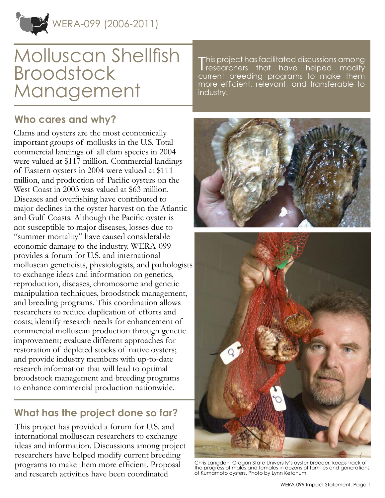

### **Who cares and why?**

Clams and oysters are the most economically important groups of mollusks in the U.S. Total commercial landings of all clam species in 2004 were valued at \$117 million. Commercial landings of Eastern oysters in 2004 were valued at \$111 million, and production of Pacific oysters on the West Coast in 2003 was valued at \$63 million. Diseases and overfishing have contributed to major declines in the oyster harvest on the Atlantic and Gulf Coasts. Although the Pacific oyster is not susceptible to major diseases, losses due to "summer mortality" have caused considerable economic damage to the industry. WERA-099 provides a forum for U.S. and international molluscan geneticists, physiologists, and pathologists to exchange ideas and information on genetics, reproduction, diseases, chromosome and genetic manipulation techniques, broodstock management, and breeding programs. This coordination allows researchers to reduce duplication of efforts and costs; identify research needs for enhancement of commercial molluscan production through genetic improvement; evaluate different approaches for restoration of depleted stocks of native oysters; and provide industry members with up-to-date research information that will lead to optimal broodstock management and breeding programs to enhance commercial production nationwide.

## **What has the project done so far?**

This project has provided a forum for U.S. and international molluscan researchers to exchange ideas and information. Discussions among project researchers have helped modify current breeding programs to make them more efficient. Proposal and research activities have been coordinated

This project has facilitated discussions among<br>Tresearchers that have helped modify researchers that have helped modify current breeding programs to make them more efficient, relevant, and transferable to industry.



Chris Langdon, Oregon State University's oyster breeder, keeps track of the progress of males and females in dozens of families and generations of Kumamoto oysters. Photo by Lynn Ketchum.